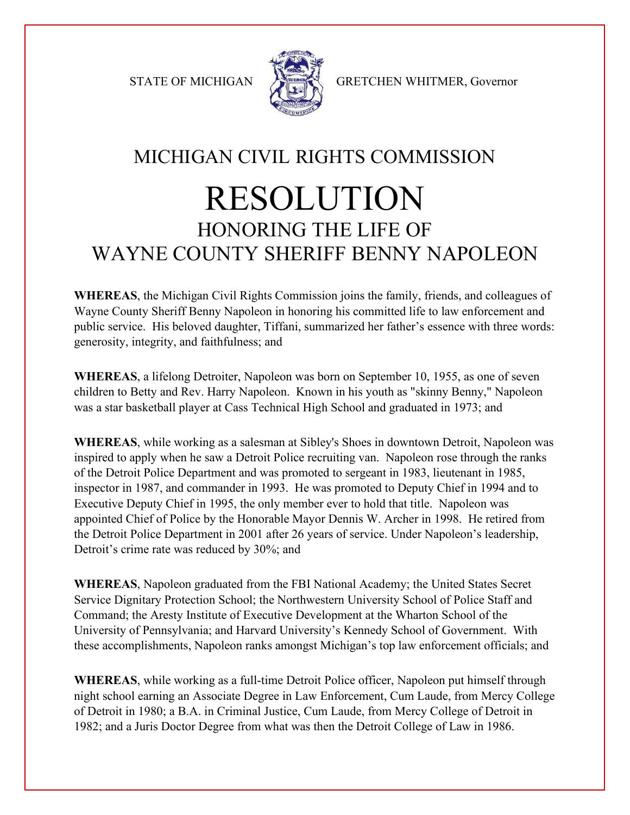

STATE OF MICHIGAN STATE OF MICHIGAN

## MICHIGAN CIVIL RIGHTS COMMISSION RESOLUTION HONORING THE LIFE OF WAYNE COUNTY SHERIFF BENNY NAPOLEON

**WHEREAS**, the Michigan Civil Rights Commission joins the family, friends, and colleagues of Wayne County Sheriff Benny Napoleon in honoring his committed life to law enforcement and public service. His beloved daughter, Tiffani, summarized her father's essence with three words: generosity, integrity, and faithfulness; and

**WHEREAS**, a lifelong Detroiter, Napoleon was born on September 10, 1955, as one of seven children to Betty and Rev. Harry Napoleon. Known in his youth as "skinny Benny," Napoleon was a star basketball player at Cass Technical High School and graduated in 1973; and

**WHEREAS**, while working as a salesman at Sibley's Shoes in downtown Detroit, Napoleon was inspired to apply when he saw a Detroit Police recruiting van. Napoleon rose through the ranks of the Detroit Police Department and was promoted to sergeant in 1983, lieutenant in 1985, inspector in 1987, and commander in 1993. He was promoted to Deputy Chief in 1994 and to Executive Deputy Chief in 1995, the only member ever to hold that title. Napoleon was appointed Chief of Police by the Honorable Mayor Dennis W. Archer in 1998. He retired from the Detroit Police Department in 2001 after 26 years of service. Under Napoleon's leadership, Detroit's crime rate was reduced by 30%; and

**WHEREAS**, Napoleon graduated from the FBI National Academy; the United States Secret Service Dignitary Protection School; the Northwestern University School of Police Staff and Command; the Aresty Institute of Executive Development at the Wharton School of the University of Pennsylvania; and Harvard University's Kennedy School of Government. With these accomplishments, Napoleon ranks amongst Michigan's top law enforcement officials; and

**WHEREAS**, while working as a full-time Detroit Police officer, Napoleon put himself through night school earning an Associate Degree in Law Enforcement, Cum Laude, from Mercy College of Detroit in 1980; a B.A. in Criminal Justice, Cum Laude, from Mercy College of Detroit in 1982; and a Juris Doctor Degree from what was then the Detroit College of Law in 1986.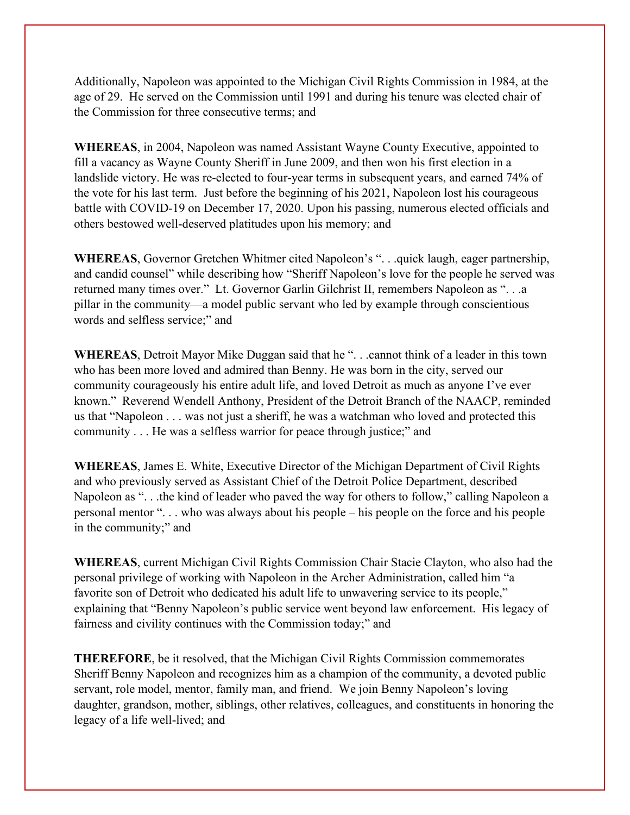Additionally, Napoleon was appointed to the Michigan Civil Rights Commission in 1984, at the age of 29. He served on the Commission until 1991 and during his tenure was elected chair of the Commission for three consecutive terms; and

**WHEREAS**, in 2004, Napoleon was named Assistant Wayne County Executive, appointed to fill a vacancy as Wayne County Sheriff in June 2009, and then won his first election in a landslide victory. He was re-elected to four-year terms in subsequent years, and earned 74% of the vote for his last term. Just before the beginning of his 2021, Napoleon lost his courageous battle with COVID-19 on December 17, 2020. Upon his passing, numerous elected officials and others bestowed well-deserved platitudes upon his memory; and

**WHEREAS**, Governor Gretchen Whitmer cited Napoleon's ". . .quick laugh, eager partnership, and candid counsel" while describing how "Sheriff Napoleon's love for the people he served was returned many times over." Lt. Governor Garlin Gilchrist II, remembers Napoleon as ". . .a pillar in the community—a model public servant who led by example through conscientious words and selfless service;" and

**WHEREAS**, Detroit Mayor Mike Duggan said that he ". . .cannot think of a leader in this town who has been more loved and admired than Benny. He was born in the city, served our community courageously his entire adult life, and loved Detroit as much as anyone I've ever known." Reverend Wendell Anthony, President of the Detroit Branch of the NAACP, reminded us that "Napoleon . . . was not just a sheriff, he was a watchman who loved and protected this community . . . He was a selfless warrior for peace through justice;" and

**WHEREAS**, James E. White, Executive Director of the Michigan Department of Civil Rights and who previously served as Assistant Chief of the Detroit Police Department, described Napoleon as ". . .the kind of leader who paved the way for others to follow," calling Napoleon a personal mentor ". . . who was always about his people – his people on the force and his people in the community;" and

**WHEREAS**, current Michigan Civil Rights Commission Chair Stacie Clayton, who also had the personal privilege of working with Napoleon in the Archer Administration, called him "a favorite son of Detroit who dedicated his adult life to unwavering service to its people," explaining that "Benny Napoleon's public service went beyond law enforcement. His legacy of fairness and civility continues with the Commission today;" and

**THEREFORE**, be it resolved, that the Michigan Civil Rights Commission commemorates Sheriff Benny Napoleon and recognizes him as a champion of the community, a devoted public servant, role model, mentor, family man, and friend. We join Benny Napoleon's loving daughter, grandson, mother, siblings, other relatives, colleagues, and constituents in honoring the legacy of a life well-lived; and